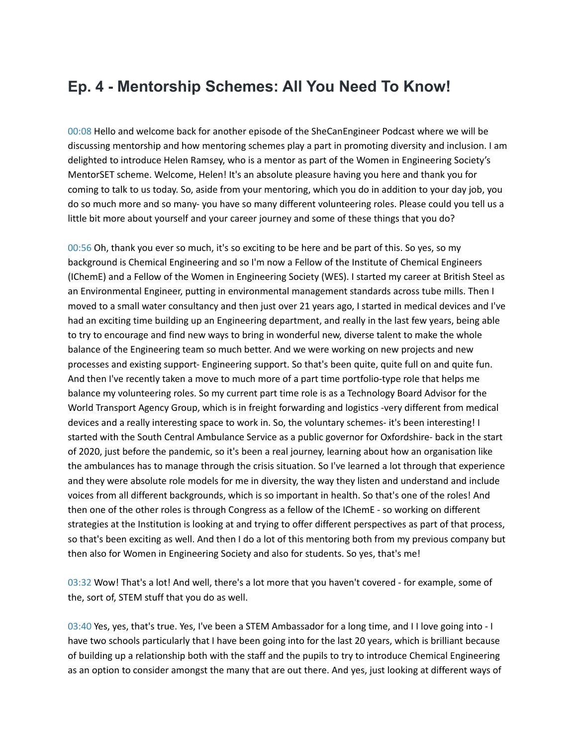## **Ep. 4 - Mentorship Schemes: All You Need To Know!**

00:08 Hello and welcome back for another episode of the SheCanEngineer Podcast where we will be discussing mentorship and how mentoring schemes play a part in promoting diversity and inclusion. I am delighted to introduce Helen Ramsey, who is a mentor as part of the Women in Engineering Society's MentorSET scheme. Welcome, Helen! It's an absolute pleasure having you here and thank you for coming to talk to us today. So, aside from your mentoring, which you do in addition to your day job, you do so much more and so many- you have so many different volunteering roles. Please could you tell us a little bit more about yourself and your career journey and some of these things that you do?

00:56 Oh, thank you ever so much, it's so exciting to be here and be part of this. So yes, so my background is Chemical Engineering and so I'm now a Fellow of the Institute of Chemical Engineers (IChemE) and a Fellow of the Women in Engineering Society (WES). I started my career at British Steel as an Environmental Engineer, putting in environmental management standards across tube mills. Then I moved to a small water consultancy and then just over 21 years ago, I started in medical devices and I've had an exciting time building up an Engineering department, and really in the last few years, being able to try to encourage and find new ways to bring in wonderful new, diverse talent to make the whole balance of the Engineering team so much better. And we were working on new projects and new processes and existing support- Engineering support. So that's been quite, quite full on and quite fun. And then I've recently taken a move to much more of a part time portfolio-type role that helps me balance my volunteering roles. So my current part time role is as a Technology Board Advisor for the World Transport Agency Group, which is in freight forwarding and logistics -very different from medical devices and a really interesting space to work in. So, the voluntary schemes- it's been interesting! I started with the South Central Ambulance Service as a public governor for Oxfordshire- back in the start of 2020, just before the pandemic, so it's been a real journey, learning about how an organisation like the ambulances has to manage through the crisis situation. So I've learned a lot through that experience and they were absolute role models for me in diversity, the way they listen and understand and include voices from all different backgrounds, which is so important in health. So that's one of the roles! And then one of the other roles is through Congress as a fellow of the IChemE - so working on different strategies at the Institution is looking at and trying to offer different perspectives as part of that process, so that's been exciting as well. And then I do a lot of this mentoring both from my previous company but then also for Women in Engineering Society and also for students. So yes, that's me!

03:32 Wow! That's a lot! And well, there's a lot more that you haven't covered - for example, some of the, sort of, STEM stuff that you do as well.

03:40 Yes, yes, that's true. Yes, I've been a STEM Ambassador for a long time, and I I love going into - I have two schools particularly that I have been going into for the last 20 years, which is brilliant because of building up a relationship both with the staff and the pupils to try to introduce Chemical Engineering as an option to consider amongst the many that are out there. And yes, just looking at different ways of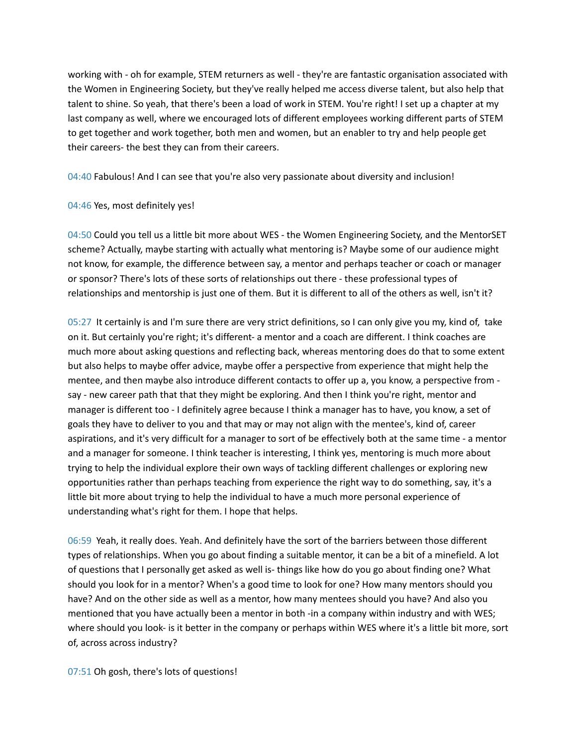working with - oh for example, STEM returners as well - they're are fantastic organisation associated with the Women in Engineering Society, but they've really helped me access diverse talent, but also help that talent to shine. So yeah, that there's been a load of work in STEM. You're right! I set up a chapter at my last company as well, where we encouraged lots of different employees working different parts of STEM to get together and work together, both men and women, but an enabler to try and help people get their careers- the best they can from their careers.

04:40 Fabulous! And I can see that you're also very passionate about diversity and inclusion!

## 04:46 Yes, most definitely yes!

04:50 Could you tell us a little bit more about WES - the Women Engineering Society, and the MentorSET scheme? Actually, maybe starting with actually what mentoring is? Maybe some of our audience might not know, for example, the difference between say, a mentor and perhaps teacher or coach or manager or sponsor? There's lots of these sorts of relationships out there - these professional types of relationships and mentorship is just one of them. But it is different to all of the others as well, isn't it?

05:27 It certainly is and I'm sure there are very strict definitions, so I can only give you my, kind of, take on it. But certainly you're right; it's different- a mentor and a coach are different. I think coaches are much more about asking questions and reflecting back, whereas mentoring does do that to some extent but also helps to maybe offer advice, maybe offer a perspective from experience that might help the mentee, and then maybe also introduce different contacts to offer up a, you know, a perspective from say - new career path that that they might be exploring. And then I think you're right, mentor and manager is different too - I definitely agree because I think a manager has to have, you know, a set of goals they have to deliver to you and that may or may not align with the mentee's, kind of, career aspirations, and it's very difficult for a manager to sort of be effectively both at the same time - a mentor and a manager for someone. I think teacher is interesting, I think yes, mentoring is much more about trying to help the individual explore their own ways of tackling different challenges or exploring new opportunities rather than perhaps teaching from experience the right way to do something, say, it's a little bit more about trying to help the individual to have a much more personal experience of understanding what's right for them. I hope that helps.

06:59 Yeah, it really does. Yeah. And definitely have the sort of the barriers between those different types of relationships. When you go about finding a suitable mentor, it can be a bit of a minefield. A lot of questions that I personally get asked as well is- things like how do you go about finding one? What should you look for in a mentor? When's a good time to look for one? How many mentors should you have? And on the other side as well as a mentor, how many mentees should you have? And also you mentioned that you have actually been a mentor in both -in a company within industry and with WES; where should you look- is it better in the company or perhaps within WES where it's a little bit more, sort of, across across industry?

07:51 Oh gosh, there's lots of questions!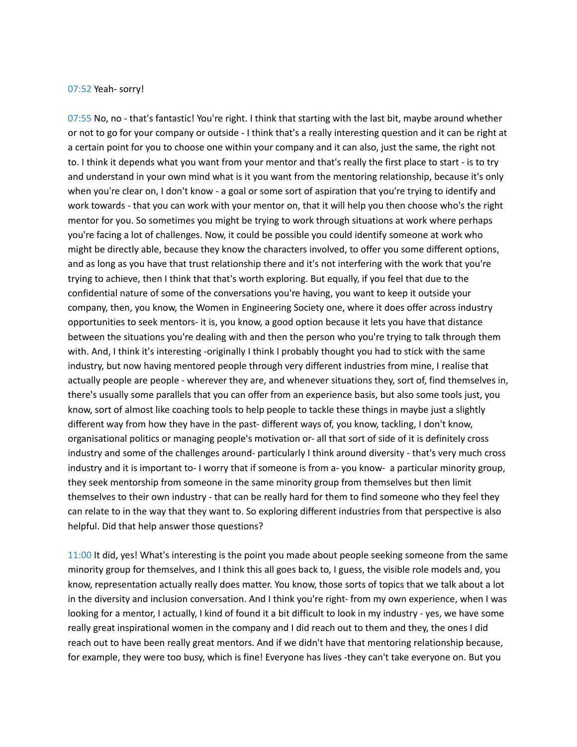## 07:52 Yeah- sorry!

07:55 No, no - that's fantastic! You're right. I think that starting with the last bit, maybe around whether or not to go for your company or outside - I think that's a really interesting question and it can be right at a certain point for you to choose one within your company and it can also, just the same, the right not to. I think it depends what you want from your mentor and that's really the first place to start - is to try and understand in your own mind what is it you want from the mentoring relationship, because it's only when you're clear on, I don't know - a goal or some sort of aspiration that you're trying to identify and work towards - that you can work with your mentor on, that it will help you then choose who's the right mentor for you. So sometimes you might be trying to work through situations at work where perhaps you're facing a lot of challenges. Now, it could be possible you could identify someone at work who might be directly able, because they know the characters involved, to offer you some different options, and as long as you have that trust relationship there and it's not interfering with the work that you're trying to achieve, then I think that that's worth exploring. But equally, if you feel that due to the confidential nature of some of the conversations you're having, you want to keep it outside your company, then, you know, the Women in Engineering Society one, where it does offer across industry opportunities to seek mentors- it is, you know, a good option because it lets you have that distance between the situations you're dealing with and then the person who you're trying to talk through them with. And, I think it's interesting -originally I think I probably thought you had to stick with the same industry, but now having mentored people through very different industries from mine, I realise that actually people are people - wherever they are, and whenever situations they, sort of, find themselves in, there's usually some parallels that you can offer from an experience basis, but also some tools just, you know, sort of almost like coaching tools to help people to tackle these things in maybe just a slightly different way from how they have in the past- different ways of, you know, tackling, I don't know, organisational politics or managing people's motivation or- all that sort of side of it is definitely cross industry and some of the challenges around- particularly I think around diversity - that's very much cross industry and it is important to- I worry that if someone is from a- you know- a particular minority group, they seek mentorship from someone in the same minority group from themselves but then limit themselves to their own industry - that can be really hard for them to find someone who they feel they can relate to in the way that they want to. So exploring different industries from that perspective is also helpful. Did that help answer those questions?

11:00 It did, yes! What's interesting is the point you made about people seeking someone from the same minority group for themselves, and I think this all goes back to, I guess, the visible role models and, you know, representation actually really does matter. You know, those sorts of topics that we talk about a lot in the diversity and inclusion conversation. And I think you're right- from my own experience, when I was looking for a mentor, I actually, I kind of found it a bit difficult to look in my industry - yes, we have some really great inspirational women in the company and I did reach out to them and they, the ones I did reach out to have been really great mentors. And if we didn't have that mentoring relationship because, for example, they were too busy, which is fine! Everyone has lives -they can't take everyone on. But you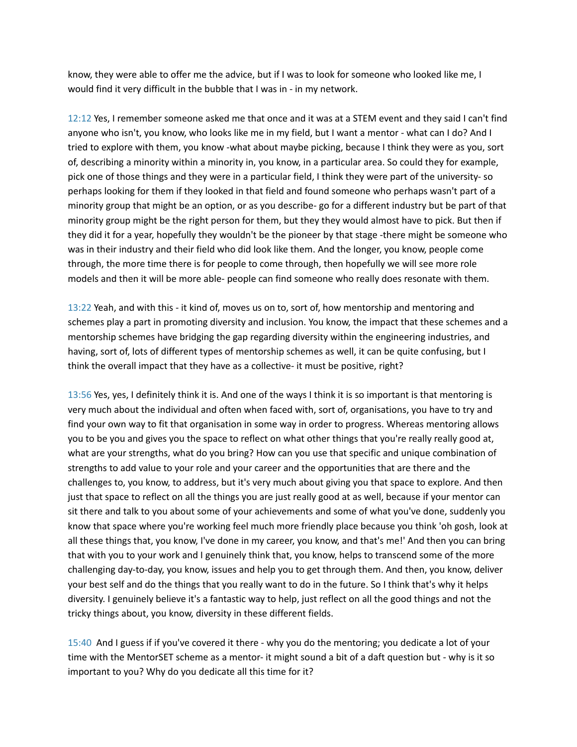know, they were able to offer me the advice, but if I was to look for someone who looked like me, I would find it very difficult in the bubble that I was in - in my network.

12:12 Yes, I remember someone asked me that once and it was at a STEM event and they said I can't find anyone who isn't, you know, who looks like me in my field, but I want a mentor - what can I do? And I tried to explore with them, you know -what about maybe picking, because I think they were as you, sort of, describing a minority within a minority in, you know, in a particular area. So could they for example, pick one of those things and they were in a particular field, I think they were part of the university- so perhaps looking for them if they looked in that field and found someone who perhaps wasn't part of a minority group that might be an option, or as you describe- go for a different industry but be part of that minority group might be the right person for them, but they they would almost have to pick. But then if they did it for a year, hopefully they wouldn't be the pioneer by that stage -there might be someone who was in their industry and their field who did look like them. And the longer, you know, people come through, the more time there is for people to come through, then hopefully we will see more role models and then it will be more able- people can find someone who really does resonate with them.

13:22 Yeah, and with this - it kind of, moves us on to, sort of, how mentorship and mentoring and schemes play a part in promoting diversity and inclusion. You know, the impact that these schemes and a mentorship schemes have bridging the gap regarding diversity within the engineering industries, and having, sort of, lots of different types of mentorship schemes as well, it can be quite confusing, but I think the overall impact that they have as a collective- it must be positive, right?

13:56 Yes, yes, I definitely think it is. And one of the ways I think it is so important is that mentoring is very much about the individual and often when faced with, sort of, organisations, you have to try and find your own way to fit that organisation in some way in order to progress. Whereas mentoring allows you to be you and gives you the space to reflect on what other things that you're really really good at, what are your strengths, what do you bring? How can you use that specific and unique combination of strengths to add value to your role and your career and the opportunities that are there and the challenges to, you know, to address, but it's very much about giving you that space to explore. And then just that space to reflect on all the things you are just really good at as well, because if your mentor can sit there and talk to you about some of your achievements and some of what you've done, suddenly you know that space where you're working feel much more friendly place because you think 'oh gosh, look at all these things that, you know, I've done in my career, you know, and that's me!' And then you can bring that with you to your work and I genuinely think that, you know, helps to transcend some of the more challenging day-to-day, you know, issues and help you to get through them. And then, you know, deliver your best self and do the things that you really want to do in the future. So I think that's why it helps diversity. I genuinely believe it's a fantastic way to help, just reflect on all the good things and not the tricky things about, you know, diversity in these different fields.

15:40 And I guess if if you've covered it there - why you do the mentoring; you dedicate a lot of your time with the MentorSET scheme as a mentor- it might sound a bit of a daft question but - why is it so important to you? Why do you dedicate all this time for it?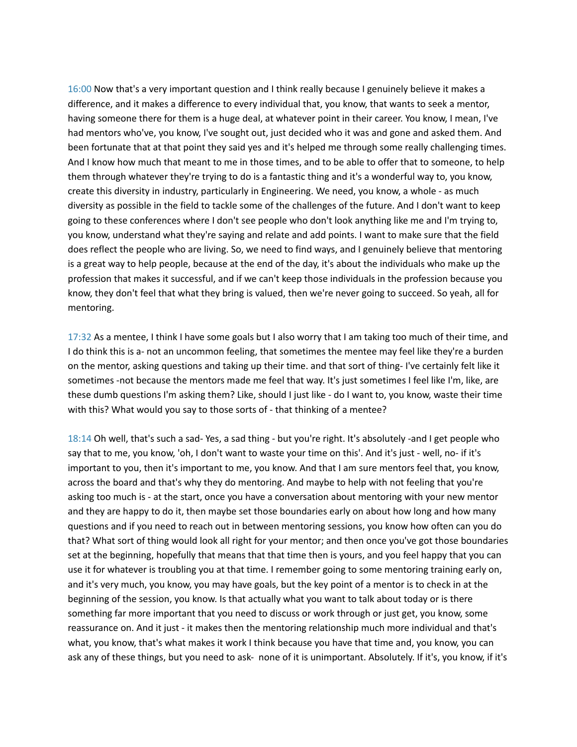16:00 Now that's a very important question and I think really because I genuinely believe it makes a difference, and it makes a difference to every individual that, you know, that wants to seek a mentor, having someone there for them is a huge deal, at whatever point in their career. You know, I mean, I've had mentors who've, you know, I've sought out, just decided who it was and gone and asked them. And been fortunate that at that point they said yes and it's helped me through some really challenging times. And I know how much that meant to me in those times, and to be able to offer that to someone, to help them through whatever they're trying to do is a fantastic thing and it's a wonderful way to, you know, create this diversity in industry, particularly in Engineering. We need, you know, a whole - as much diversity as possible in the field to tackle some of the challenges of the future. And I don't want to keep going to these conferences where I don't see people who don't look anything like me and I'm trying to, you know, understand what they're saying and relate and add points. I want to make sure that the field does reflect the people who are living. So, we need to find ways, and I genuinely believe that mentoring is a great way to help people, because at the end of the day, it's about the individuals who make up the profession that makes it successful, and if we can't keep those individuals in the profession because you know, they don't feel that what they bring is valued, then we're never going to succeed. So yeah, all for mentoring.

17:32 As a mentee, I think I have some goals but I also worry that I am taking too much of their time, and I do think this is a- not an uncommon feeling, that sometimes the mentee may feel like they're a burden on the mentor, asking questions and taking up their time. and that sort of thing- I've certainly felt like it sometimes -not because the mentors made me feel that way. It's just sometimes I feel like I'm, like, are these dumb questions I'm asking them? Like, should I just like - do I want to, you know, waste their time with this? What would you say to those sorts of - that thinking of a mentee?

18:14 Oh well, that's such a sad- Yes, a sad thing - but you're right. It's absolutely -and I get people who say that to me, you know, 'oh, I don't want to waste your time on this'. And it's just - well, no- if it's important to you, then it's important to me, you know. And that I am sure mentors feel that, you know, across the board and that's why they do mentoring. And maybe to help with not feeling that you're asking too much is - at the start, once you have a conversation about mentoring with your new mentor and they are happy to do it, then maybe set those boundaries early on about how long and how many questions and if you need to reach out in between mentoring sessions, you know how often can you do that? What sort of thing would look all right for your mentor; and then once you've got those boundaries set at the beginning, hopefully that means that that time then is yours, and you feel happy that you can use it for whatever is troubling you at that time. I remember going to some mentoring training early on, and it's very much, you know, you may have goals, but the key point of a mentor is to check in at the beginning of the session, you know. Is that actually what you want to talk about today or is there something far more important that you need to discuss or work through or just get, you know, some reassurance on. And it just - it makes then the mentoring relationship much more individual and that's what, you know, that's what makes it work I think because you have that time and, you know, you can ask any of these things, but you need to ask- none of it is unimportant. Absolutely. If it's, you know, if it's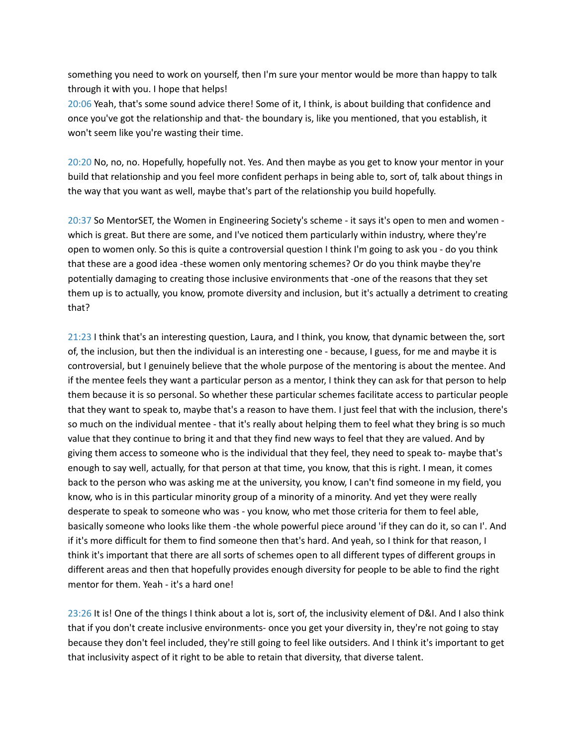something you need to work on yourself, then I'm sure your mentor would be more than happy to talk through it with you. I hope that helps!

20:06 Yeah, that's some sound advice there! Some of it, I think, is about building that confidence and once you've got the relationship and that- the boundary is, like you mentioned, that you establish, it won't seem like you're wasting their time.

20:20 No, no, no. Hopefully, hopefully not. Yes. And then maybe as you get to know your mentor in your build that relationship and you feel more confident perhaps in being able to, sort of, talk about things in the way that you want as well, maybe that's part of the relationship you build hopefully.

20:37 So MentorSET, the Women in Engineering Society's scheme - it says it's open to men and women which is great. But there are some, and I've noticed them particularly within industry, where they're open to women only. So this is quite a controversial question I think I'm going to ask you - do you think that these are a good idea -these women only mentoring schemes? Or do you think maybe they're potentially damaging to creating those inclusive environments that -one of the reasons that they set them up is to actually, you know, promote diversity and inclusion, but it's actually a detriment to creating that?

21:23 I think that's an interesting question, Laura, and I think, you know, that dynamic between the, sort of, the inclusion, but then the individual is an interesting one - because, I guess, for me and maybe it is controversial, but I genuinely believe that the whole purpose of the mentoring is about the mentee. And if the mentee feels they want a particular person as a mentor, I think they can ask for that person to help them because it is so personal. So whether these particular schemes facilitate access to particular people that they want to speak to, maybe that's a reason to have them. I just feel that with the inclusion, there's so much on the individual mentee - that it's really about helping them to feel what they bring is so much value that they continue to bring it and that they find new ways to feel that they are valued. And by giving them access to someone who is the individual that they feel, they need to speak to- maybe that's enough to say well, actually, for that person at that time, you know, that this is right. I mean, it comes back to the person who was asking me at the university, you know, I can't find someone in my field, you know, who is in this particular minority group of a minority of a minority. And yet they were really desperate to speak to someone who was - you know, who met those criteria for them to feel able, basically someone who looks like them -the whole powerful piece around 'if they can do it, so can I'. And if it's more difficult for them to find someone then that's hard. And yeah, so I think for that reason, I think it's important that there are all sorts of schemes open to all different types of different groups in different areas and then that hopefully provides enough diversity for people to be able to find the right mentor for them. Yeah - it's a hard one!

23:26 It is! One of the things I think about a lot is, sort of, the inclusivity element of D&I. And I also think that if you don't create inclusive environments- once you get your diversity in, they're not going to stay because they don't feel included, they're still going to feel like outsiders. And I think it's important to get that inclusivity aspect of it right to be able to retain that diversity, that diverse talent.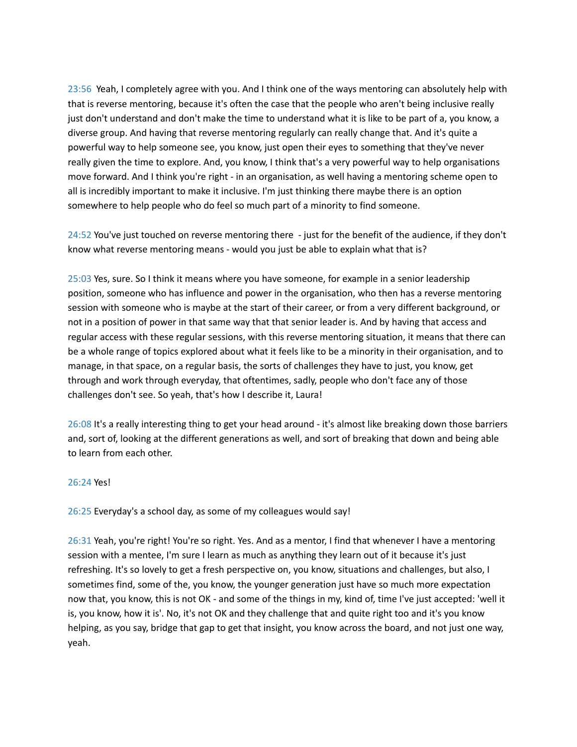23:56 Yeah, I completely agree with you. And I think one of the ways mentoring can absolutely help with that is reverse mentoring, because it's often the case that the people who aren't being inclusive really just don't understand and don't make the time to understand what it is like to be part of a, you know, a diverse group. And having that reverse mentoring regularly can really change that. And it's quite a powerful way to help someone see, you know, just open their eyes to something that they've never really given the time to explore. And, you know, I think that's a very powerful way to help organisations move forward. And I think you're right - in an organisation, as well having a mentoring scheme open to all is incredibly important to make it inclusive. I'm just thinking there maybe there is an option somewhere to help people who do feel so much part of a minority to find someone.

24:52 You've just touched on reverse mentoring there - just for the benefit of the audience, if they don't know what reverse mentoring means - would you just be able to explain what that is?

25:03 Yes, sure. So I think it means where you have someone, for example in a senior leadership position, someone who has influence and power in the organisation, who then has a reverse mentoring session with someone who is maybe at the start of their career, or from a very different background, or not in a position of power in that same way that that senior leader is. And by having that access and regular access with these regular sessions, with this reverse mentoring situation, it means that there can be a whole range of topics explored about what it feels like to be a minority in their organisation, and to manage, in that space, on a regular basis, the sorts of challenges they have to just, you know, get through and work through everyday, that oftentimes, sadly, people who don't face any of those challenges don't see. So yeah, that's how I describe it, Laura!

26:08 It's a really interesting thing to get your head around - it's almost like breaking down those barriers and, sort of, looking at the different generations as well, and sort of breaking that down and being able to learn from each other.

## 26:24 Yes!

26:25 Everyday's a school day, as some of my colleagues would say!

26:31 Yeah, you're right! You're so right. Yes. And as a mentor, I find that whenever I have a mentoring session with a mentee, I'm sure I learn as much as anything they learn out of it because it's just refreshing. It's so lovely to get a fresh perspective on, you know, situations and challenges, but also, I sometimes find, some of the, you know, the younger generation just have so much more expectation now that, you know, this is not OK - and some of the things in my, kind of, time I've just accepted: 'well it is, you know, how it is'. No, it's not OK and they challenge that and quite right too and it's you know helping, as you say, bridge that gap to get that insight, you know across the board, and not just one way, yeah.